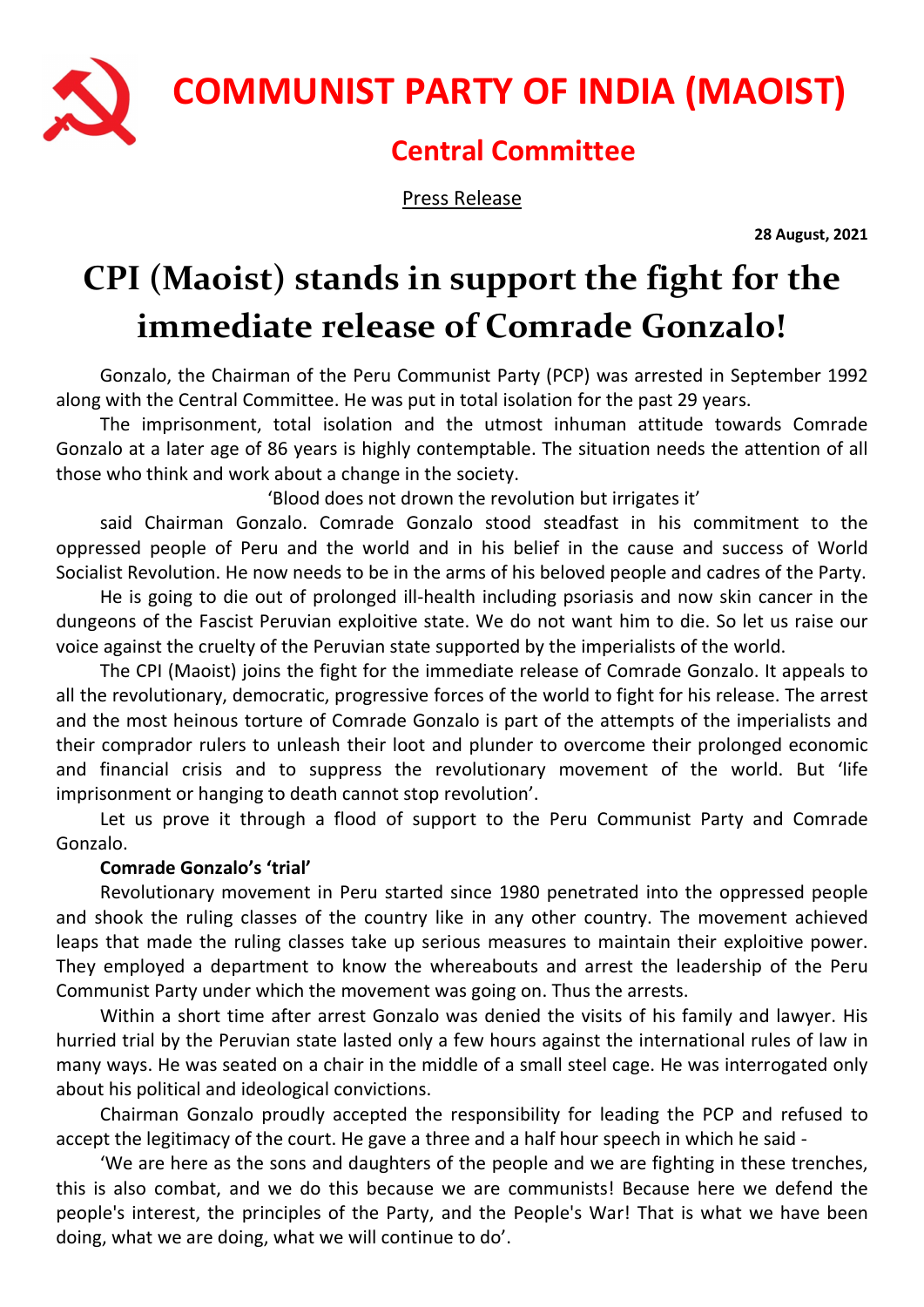

COMMUNIST PARTY OF INDIA (MAOIST)

## Central Committee

Press Release

28 August, 2021

## CPI (Maoist) stands in support the fight for the immediate release of Comrade Gonzalo!

Gonzalo, the Chairman of the Peru Communist Party (PCP) was arrested in September 1992 along with the Central Committee. He was put in total isolation for the past 29 years.

The imprisonment, total isolation and the utmost inhuman attitude towards Comrade Gonzalo at a later age of 86 years is highly contemptable. The situation needs the attention of all those who think and work about a change in the society.

'Blood does not drown the revolution but irrigates it'

said Chairman Gonzalo. Comrade Gonzalo stood steadfast in his commitment to the oppressed people of Peru and the world and in his belief in the cause and success of World Socialist Revolution. He now needs to be in the arms of his beloved people and cadres of the Party.

He is going to die out of prolonged ill-health including psoriasis and now skin cancer in the dungeons of the Fascist Peruvian exploitive state. We do not want him to die. So let us raise our voice against the cruelty of the Peruvian state supported by the imperialists of the world.

The CPI (Maoist) joins the fight for the immediate release of Comrade Gonzalo. It appeals to all the revolutionary, democratic, progressive forces of the world to fight for his release. The arrest and the most heinous torture of Comrade Gonzalo is part of the attempts of the imperialists and their comprador rulers to unleash their loot and plunder to overcome their prolonged economic and financial crisis and to suppress the revolutionary movement of the world. But 'life imprisonment or hanging to death cannot stop revolution'.

Let us prove it through a flood of support to the Peru Communist Party and Comrade Gonzalo.

## Comrade Gonzalo's 'trial'

Revolutionary movement in Peru started since 1980 penetrated into the oppressed people and shook the ruling classes of the country like in any other country. The movement achieved leaps that made the ruling classes take up serious measures to maintain their exploitive power. They employed a department to know the whereabouts and arrest the leadership of the Peru Communist Party under which the movement was going on. Thus the arrests.

Within a short time after arrest Gonzalo was denied the visits of his family and lawyer. His hurried trial by the Peruvian state lasted only a few hours against the international rules of law in many ways. He was seated on a chair in the middle of a small steel cage. He was interrogated only about his political and ideological convictions.

Chairman Gonzalo proudly accepted the responsibility for leading the PCP and refused to accept the legitimacy of the court. He gave a three and a half hour speech in which he said -

'We are here as the sons and daughters of the people and we are fighting in these trenches, this is also combat, and we do this because we are communists! Because here we defend the people's interest, the principles of the Party, and the People's War! That is what we have been doing, what we are doing, what we will continue to do'.